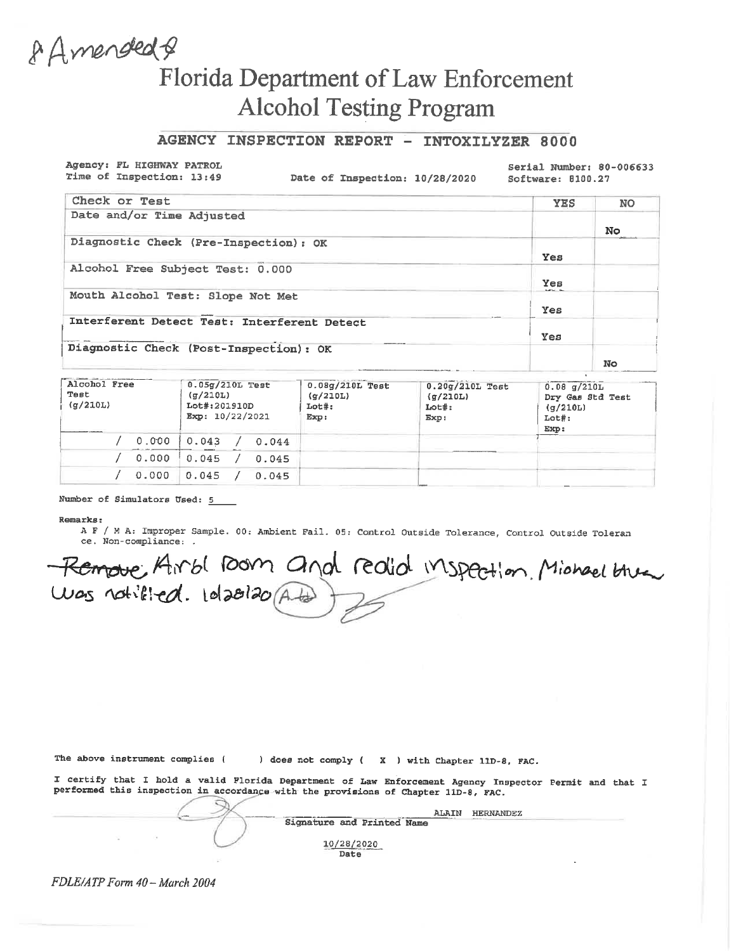# 8 Amended & Florida Department of Law Enforcement **Alcohol Testing Program**

### AGENCY INSPECTION REPORT - INTOXILYZER 8000

Agency: FL HIGHWAY PATROL Time of Inspection: 13:49

Date of Inspection: 10/28/2020

Serial Number: 80-006633 Software: 8100.27

| Check or Test                               | <b>YES</b> | <b>NO</b> |
|---------------------------------------------|------------|-----------|
| Date and/or Time Adjusted                   |            |           |
|                                             |            | No        |
| Diagnostic Check (Pre-Inspection): OK       |            |           |
|                                             | Yes        |           |
| Alcohol Free Subject Test: 0.000            |            |           |
|                                             | Yes        |           |
| Mouth Alcohol Test: Slope Not Met           | sures a    |           |
|                                             | Yes        |           |
| Interferent Detect Test: Interferent Detect |            |           |
|                                             | Yes        |           |
| Diagnostic Check (Post-Inspection): OK      |            |           |
|                                             |            | No        |

| Alcohol Free<br>Test<br>(g/210L) |       | $0.05g/210L$ Test<br>(q/210L)<br>Lot#:201910D<br>Exp: 10/22/2021 |       | $0.08g/210L$ Test<br>(g/210L)<br>$Lot#$ :<br>Exp: | $0.20$ g/210L Test<br>(g/210L)<br>Loth:<br>Exp: | $0.08$ q/210L<br>Dry Gas Std Test<br>(q/210L)<br>$Lot\$ :<br>Exp: |
|----------------------------------|-------|------------------------------------------------------------------|-------|---------------------------------------------------|-------------------------------------------------|-------------------------------------------------------------------|
|                                  | 0.000 | 0.043                                                            | 0.044 |                                                   |                                                 |                                                                   |
|                                  | 0.000 | 0.045                                                            | 0.045 |                                                   |                                                 |                                                                   |
|                                  | 0.000 | 0.045                                                            | 0.045 |                                                   |                                                 |                                                                   |

### Number of Simulators Used: 5

#### Remarks:

A F / M A: Improper Sample. 00: Ambient Fail. 05: Control Outside Tolerance, Control Outside Toleran ce. Non-compliance: .

Remove Airbl Dom and realid inspection Michael these

The above instrument complies ( ) does not comply ( X ) with Chapter 11D-8, FAC.

I certify that I hold a valid Florida Department of Law Enforcement Agency Inspector Permit and that I performed this inspection in accordance with the provisions of Chapter 11D-8, FAC.

| ALAIN                                                                                                                                                                                                                                                | <b>HERNANDEZ</b> |
|------------------------------------------------------------------------------------------------------------------------------------------------------------------------------------------------------------------------------------------------------|------------------|
| Signature and Printed Name                                                                                                                                                                                                                           | distance in the  |
| 10/28/2020<br>the contract of the contract of the contract of the contract of the contract of the contract of the contract of the contract of the contract of the contract of the contract of the contract of the contract of the contract o<br>Date |                  |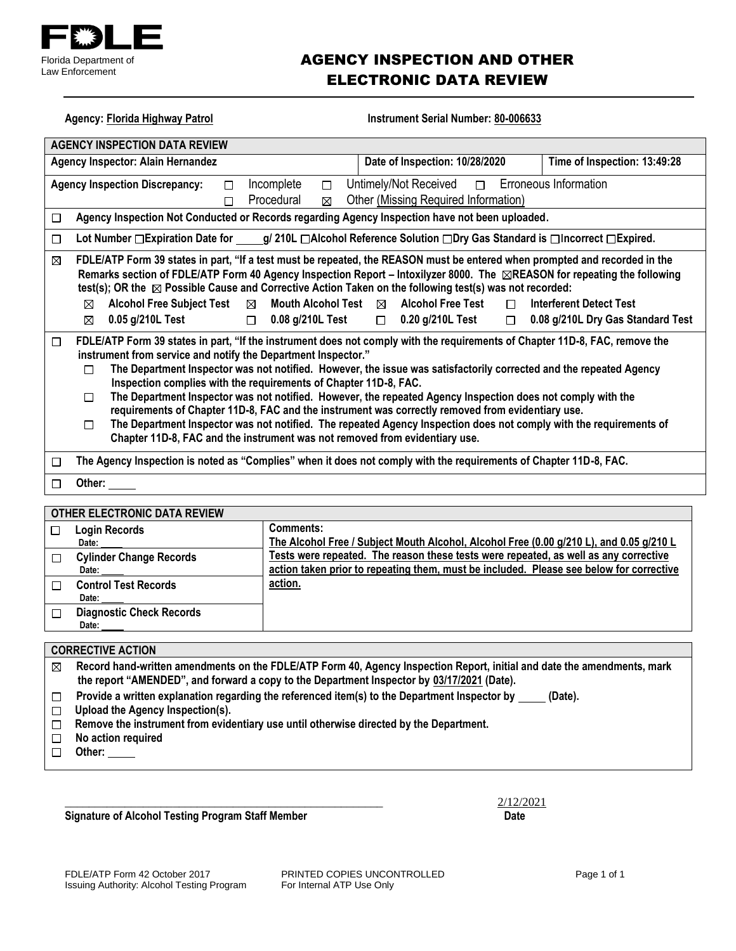

## AGENCY INSPECTION AND OTHER ELECTRONIC DATA REVIEW

| Instrument Serial Number: 80-006633<br><b>Agency: Florida Highway Patrol</b>                                                                                                                                                                                                                                                                                                                                                                                                                                                                                                                                                                                                                                                                                                                                                             |                                                                                                                                                                                 |  |  |  |  |  |
|------------------------------------------------------------------------------------------------------------------------------------------------------------------------------------------------------------------------------------------------------------------------------------------------------------------------------------------------------------------------------------------------------------------------------------------------------------------------------------------------------------------------------------------------------------------------------------------------------------------------------------------------------------------------------------------------------------------------------------------------------------------------------------------------------------------------------------------|---------------------------------------------------------------------------------------------------------------------------------------------------------------------------------|--|--|--|--|--|
| <b>AGENCY INSPECTION DATA REVIEW</b>                                                                                                                                                                                                                                                                                                                                                                                                                                                                                                                                                                                                                                                                                                                                                                                                     |                                                                                                                                                                                 |  |  |  |  |  |
| Agency Inspector: Alain Hernandez<br>Date of Inspection: 10/28/2020<br>Time of Inspection: 13:49:28                                                                                                                                                                                                                                                                                                                                                                                                                                                                                                                                                                                                                                                                                                                                      |                                                                                                                                                                                 |  |  |  |  |  |
| Erroneous Information<br>Incomplete<br>Untimely/Not Received<br><b>Agency Inspection Discrepancy:</b><br>$\Box$<br>□<br>$\Box$<br>Other (Missing Required Information)<br>Procedural<br>⊠<br>П                                                                                                                                                                                                                                                                                                                                                                                                                                                                                                                                                                                                                                           |                                                                                                                                                                                 |  |  |  |  |  |
| □                                                                                                                                                                                                                                                                                                                                                                                                                                                                                                                                                                                                                                                                                                                                                                                                                                        | Agency Inspection Not Conducted or Records regarding Agency Inspection have not been uploaded.                                                                                  |  |  |  |  |  |
| □                                                                                                                                                                                                                                                                                                                                                                                                                                                                                                                                                                                                                                                                                                                                                                                                                                        | Lot Number □ Expiration Date for _____g/ 210L □ Alcohol Reference Solution □ Dry Gas Standard is □ Incorrect □ Expired.                                                         |  |  |  |  |  |
| FDLE/ATP Form 39 states in part, "If a test must be repeated, the REASON must be entered when prompted and recorded in the<br>⊠<br>Remarks section of FDLE/ATP Form 40 Agency Inspection Report – Intoxilyzer 8000. The <b>REASON</b> for repeating the following<br>test(s); OR the $\boxtimes$ Possible Cause and Corrective Action Taken on the following test(s) was not recorded:<br>$\boxtimes$ Alcohol Free Subject Test<br>Mouth Alcohol Test ⊠ Alcohol Free Test<br><b>Interferent Detect Test</b><br>$\boxtimes$<br>$\Box$<br>0.05 g/210L Test<br>$\Box$ 0.08 g/210L Test<br>$\Box$ 0.20 g/210L Test<br>0.08 g/210L Dry Gas Standard Test<br>⊠<br>$\Box$                                                                                                                                                                       |                                                                                                                                                                                 |  |  |  |  |  |
| FDLE/ATP Form 39 states in part, "If the instrument does not comply with the requirements of Chapter 11D-8, FAC, remove the<br>□<br>instrument from service and notify the Department Inspector."<br>The Department Inspector was not notified. However, the issue was satisfactorily corrected and the repeated Agency<br>п<br>Inspection complies with the requirements of Chapter 11D-8, FAC.<br>The Department Inspector was not notified. However, the repeated Agency Inspection does not comply with the<br>□<br>requirements of Chapter 11D-8, FAC and the instrument was correctly removed from evidentiary use.<br>The Department Inspector was not notified. The repeated Agency Inspection does not comply with the requirements of<br>$\Box$<br>Chapter 11D-8, FAC and the instrument was not removed from evidentiary use. |                                                                                                                                                                                 |  |  |  |  |  |
| □                                                                                                                                                                                                                                                                                                                                                                                                                                                                                                                                                                                                                                                                                                                                                                                                                                        | The Agency Inspection is noted as "Complies" when it does not comply with the requirements of Chapter 11D-8, FAC.                                                               |  |  |  |  |  |
| Other: $\_\_$<br>$\Box$                                                                                                                                                                                                                                                                                                                                                                                                                                                                                                                                                                                                                                                                                                                                                                                                                  |                                                                                                                                                                                 |  |  |  |  |  |
|                                                                                                                                                                                                                                                                                                                                                                                                                                                                                                                                                                                                                                                                                                                                                                                                                                          |                                                                                                                                                                                 |  |  |  |  |  |
| OTHER ELECTRONIC DATA REVIEW<br><b>Login Records</b><br>$\Box$                                                                                                                                                                                                                                                                                                                                                                                                                                                                                                                                                                                                                                                                                                                                                                           | <b>Comments:</b>                                                                                                                                                                |  |  |  |  |  |
| Date:                                                                                                                                                                                                                                                                                                                                                                                                                                                                                                                                                                                                                                                                                                                                                                                                                                    | The Alcohol Free / Subject Mouth Alcohol, Alcohol Free (0.00 g/210 L), and 0.05 g/210 L                                                                                         |  |  |  |  |  |
| <b>Cylinder Change Records</b><br>□<br>Date:                                                                                                                                                                                                                                                                                                                                                                                                                                                                                                                                                                                                                                                                                                                                                                                             | Tests were repeated. The reason these tests were repeated, as well as any corrective<br>action taken prior to repeating them, must be included. Please see below for corrective |  |  |  |  |  |
| <b>Control Test Records</b><br>□<br>Date:                                                                                                                                                                                                                                                                                                                                                                                                                                                                                                                                                                                                                                                                                                                                                                                                | action.                                                                                                                                                                         |  |  |  |  |  |
| <b>Diagnostic Check Records</b><br>□<br>Date:                                                                                                                                                                                                                                                                                                                                                                                                                                                                                                                                                                                                                                                                                                                                                                                            |                                                                                                                                                                                 |  |  |  |  |  |
|                                                                                                                                                                                                                                                                                                                                                                                                                                                                                                                                                                                                                                                                                                                                                                                                                                          |                                                                                                                                                                                 |  |  |  |  |  |
| <b>CORRECTIVE ACTION</b>                                                                                                                                                                                                                                                                                                                                                                                                                                                                                                                                                                                                                                                                                                                                                                                                                 |                                                                                                                                                                                 |  |  |  |  |  |
| Record hand-written amendments on the FDLE/ATP Form 40, Agency Inspection Report, initial and date the amendments, mark<br>⊠                                                                                                                                                                                                                                                                                                                                                                                                                                                                                                                                                                                                                                                                                                             |                                                                                                                                                                                 |  |  |  |  |  |
| the report "AMENDED", and forward a copy to the Department Inspector by 03/17/2021 (Date).<br>Provide a written explanation regarding the referenced item(s) to the Department Inspector by                                                                                                                                                                                                                                                                                                                                                                                                                                                                                                                                                                                                                                              |                                                                                                                                                                                 |  |  |  |  |  |
| (Date).<br>□<br>Upload the Agency Inspection(s).<br>□                                                                                                                                                                                                                                                                                                                                                                                                                                                                                                                                                                                                                                                                                                                                                                                    |                                                                                                                                                                                 |  |  |  |  |  |
| Remove the instrument from evidentiary use until otherwise directed by the Department.<br>$\Box$                                                                                                                                                                                                                                                                                                                                                                                                                                                                                                                                                                                                                                                                                                                                         |                                                                                                                                                                                 |  |  |  |  |  |
| No action required<br>$\Box$                                                                                                                                                                                                                                                                                                                                                                                                                                                                                                                                                                                                                                                                                                                                                                                                             |                                                                                                                                                                                 |  |  |  |  |  |
| Other:<br>⊓                                                                                                                                                                                                                                                                                                                                                                                                                                                                                                                                                                                                                                                                                                                                                                                                                              |                                                                                                                                                                                 |  |  |  |  |  |

**Signature of Alcohol Testing Program Staff Member Date** 

 $\frac{2}{12/22021}$